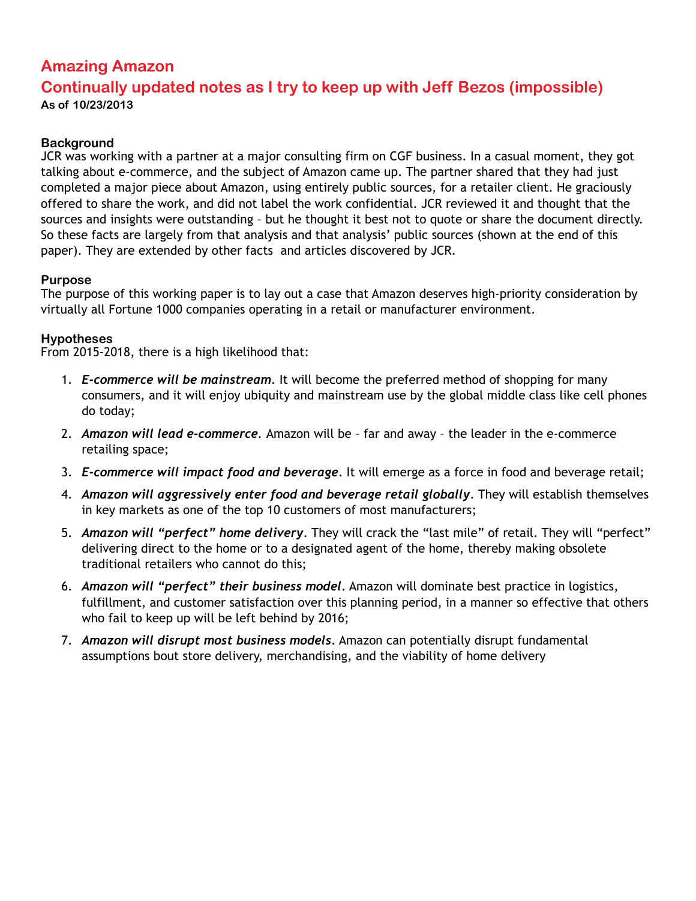# **Amazing Amazon**

## **Continually updated notes as I try to keep up with Jeff Bezos (impossible) As of 10/23/2013**

## **Background**

JCR was working with a partner at a major consulting firm on CGF business. In a casual moment, they got talking about e-commerce, and the subject of Amazon came up. The partner shared that they had just completed a major piece about Amazon, using entirely public sources, for a retailer client. He graciously offered to share the work, and did not label the work confidential. JCR reviewed it and thought that the sources and insights were outstanding – but he thought it best not to quote or share the document directly. So these facts are largely from that analysis and that analysis' public sources (shown at the end of this paper). They are extended by other facts and articles discovered by JCR.

#### **Purpose**

The purpose of this working paper is to lay out a case that Amazon deserves high-priority consideration by virtually all Fortune 1000 companies operating in a retail or manufacturer environment.

#### **Hypotheses**

From 2015-2018, there is a high likelihood that:

- 1. *E-commerce will be mainstream*. It will become the preferred method of shopping for many consumers, and it will enjoy ubiquity and mainstream use by the global middle class like cell phones do today;
- 2. *Amazon will lead e-commerce.* Amazon will be far and away the leader in the e-commerce retailing space;
- 3. *E-commerce will impact food and beverage*. It will emerge as a force in food and beverage retail;
- 4. *Amazon will aggressively enter food and beverage retail globally*. They will establish themselves in key markets as one of the top 10 customers of most manufacturers;
- 5. *Amazon will "perfect" home delivery*. They will crack the "last mile" of retail. They will "perfect" delivering direct to the home or to a designated agent of the home, thereby making obsolete traditional retailers who cannot do this;
- 6. *Amazon will "perfect" their business model*. Amazon will dominate best practice in logistics, fulfillment, and customer satisfaction over this planning period, in a manner so effective that others who fail to keep up will be left behind by 2016;
- 7. *Amazon will disrupt most business models.* Amazon can potentially disrupt fundamental assumptions bout store delivery, merchandising, and the viability of home delivery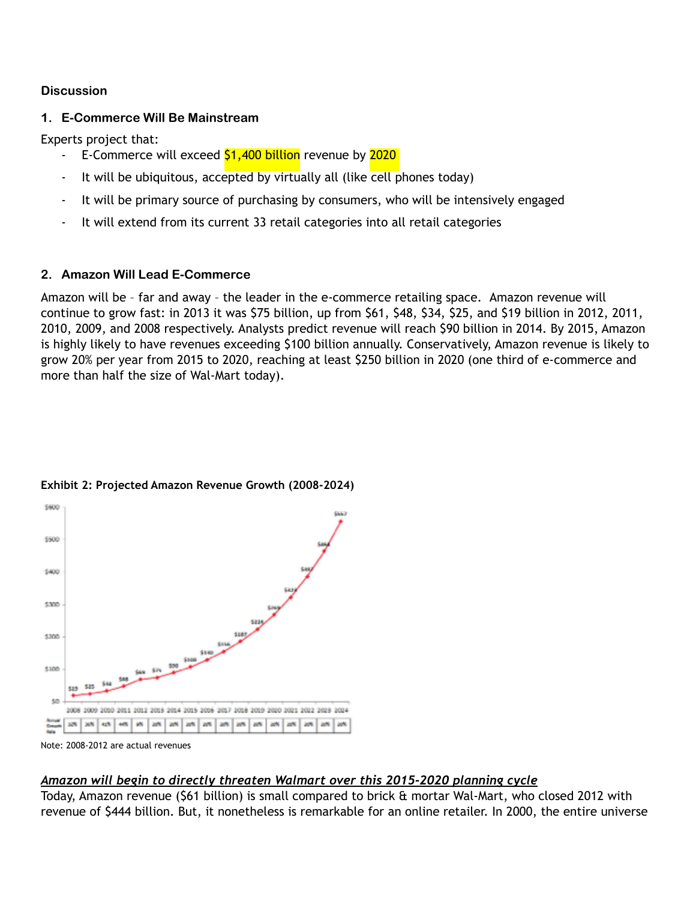### **Discussion**

## **1. E-Commerce Will Be Mainstream**

Experts project that:

- E-Commerce will exceed \$1,400 billion revenue by 2020
- It will be ubiquitous, accepted by virtually all (like cell phones today)
- It will be primary source of purchasing by consumers, who will be intensively engaged
- It will extend from its current 33 retail categories into all retail categories

## **2. Amazon Will Lead E-Commerce**

Amazon will be – far and away – the leader in the e-commerce retailing space. Amazon revenue will continue to grow fast: in 2013 it was \$75 billion, up from \$61, \$48, \$34, \$25, and \$19 billion in 2012, 2011, 2010, 2009, and 2008 respectively. Analysts predict revenue will reach \$90 billion in 2014. By 2015, Amazon is highly likely to have revenues exceeding \$100 billion annually. Conservatively, Amazon revenue is likely to grow 20% per year from 2015 to 2020, reaching at least \$250 billion in 2020 (one third of e-commerce and more than half the size of Wal-Mart today).



## **Exhibit 2: Projected Amazon Revenue Growth (2008-2024)**

## *Amazon will begin to directly threaten Walmart over this 2015-2020 planning cycle*

Today, Amazon revenue (\$61 billion) is small compared to brick & mortar Wal-Mart, who closed 2012 with revenue of \$444 billion. But, it nonetheless is remarkable for an online retailer. In 2000, the entire universe

Note: 2008-2012 are actual revenues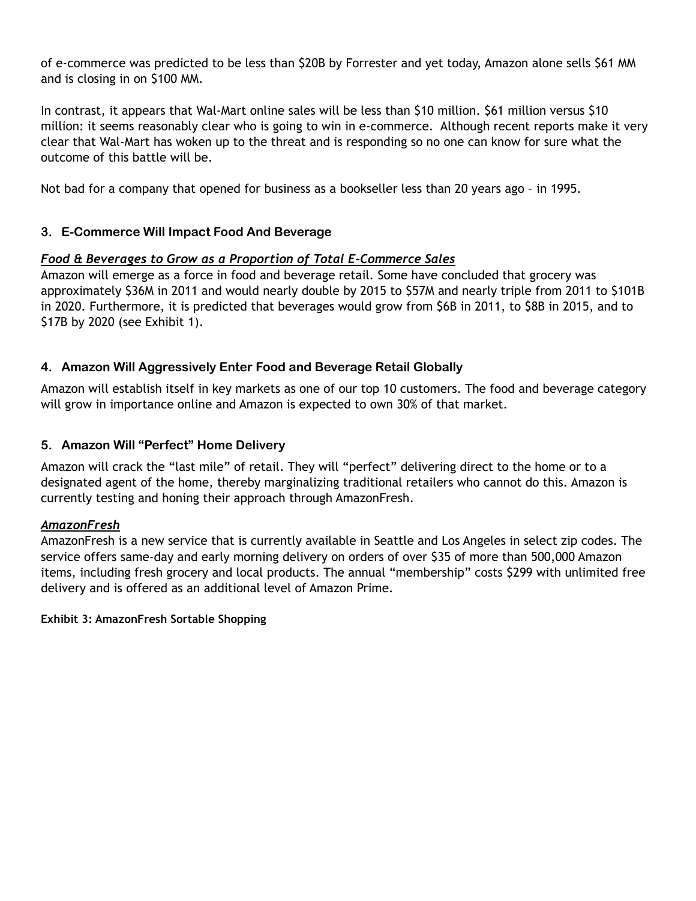of e-commerce was predicted to be less than \$20B by Forrester and yet today, Amazon alone sells \$61 MM and is closing in on \$100 MM.

In contrast, it appears that Wal-Mart online sales will be less than \$10 million. \$61 million versus \$10 million: it seems reasonably clear who is going to win in e-commerce. Although recent reports make it very clear that Wal-Mart has woken up to the threat and is responding so no one can know for sure what the outcome of this battle will be.

Not bad for a company that opened for business as a bookseller less than 20 years ago – in 1995.

## **3. E-Commerce Will Impact Food And Beverage**

### *Food & Beverages to Grow as a Proportion of Total E-Commerce Sales*

Amazon will emerge as a force in food and beverage retail. Some have concluded that grocery was approximately \$36M in 2011 and would nearly double by 2015 to \$57M and nearly triple from 2011 to \$101B in 2020. Furthermore, it is predicted that beverages would grow from \$6B in 2011, to \$8B in 2015, and to \$17B by 2020 (see Exhibit 1).

### **4. Amazon Will Aggressively Enter Food and Beverage Retail Globally**

Amazon will establish itself in key markets as one of our top 10 customers. The food and beverage category will grow in importance online and Amazon is expected to own 30% of that market.

### **5. Amazon Will "Perfect" Home Delivery**

Amazon will crack the "last mile" of retail. They will "perfect" delivering direct to the home or to a designated agent of the home, thereby marginalizing traditional retailers who cannot do this. Amazon is currently testing and honing their approach through AmazonFresh.

#### *AmazonFresh*

AmazonFresh is a new service that is currently available in Seattle and Los Angeles in select zip codes. The service offers same-day and early morning delivery on orders of over \$35 of more than 500,000 Amazon items, including fresh grocery and local products. The annual "membership" costs \$299 with unlimited free delivery and is offered as an additional level of Amazon Prime.

#### **Exhibit 3: AmazonFresh Sortable Shopping**